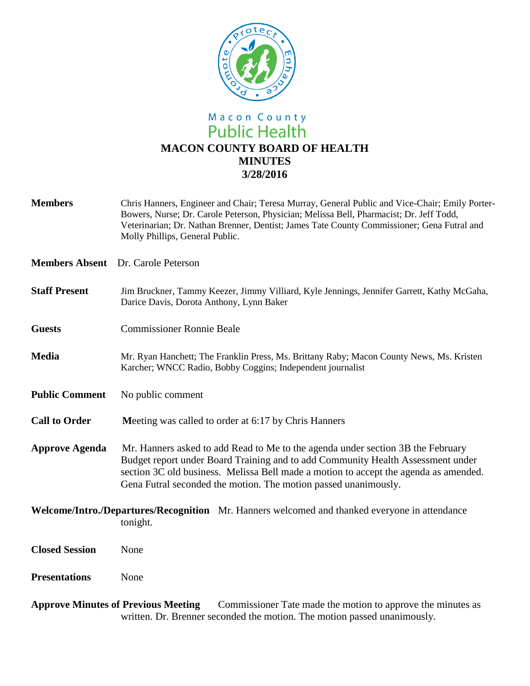

## Macon County<br>Public Health **MACON COUNTY BOARD OF HEALTH MINUTES 3/28/2016**

| <b>Members</b>                                                                                            | Chris Hanners, Engineer and Chair; Teresa Murray, General Public and Vice-Chair; Emily Porter-<br>Bowers, Nurse; Dr. Carole Peterson, Physician; Melissa Bell, Pharmacist; Dr. Jeff Todd,<br>Veterinarian; Dr. Nathan Brenner, Dentist; James Tate County Commissioner; Gena Futral and<br>Molly Phillips, General Public.    |
|-----------------------------------------------------------------------------------------------------------|-------------------------------------------------------------------------------------------------------------------------------------------------------------------------------------------------------------------------------------------------------------------------------------------------------------------------------|
|                                                                                                           | <b>Members Absent</b> Dr. Carole Peterson                                                                                                                                                                                                                                                                                     |
| <b>Staff Present</b>                                                                                      | Jim Bruckner, Tammy Keezer, Jimmy Villiard, Kyle Jennings, Jennifer Garrett, Kathy McGaha,<br>Darice Davis, Dorota Anthony, Lynn Baker                                                                                                                                                                                        |
| <b>Guests</b>                                                                                             | <b>Commissioner Ronnie Beale</b>                                                                                                                                                                                                                                                                                              |
| <b>Media</b>                                                                                              | Mr. Ryan Hanchett; The Franklin Press, Ms. Brittany Raby; Macon County News, Ms. Kristen<br>Karcher; WNCC Radio, Bobby Coggins; Independent journalist                                                                                                                                                                        |
| <b>Public Comment</b>                                                                                     | No public comment                                                                                                                                                                                                                                                                                                             |
| <b>Call to Order</b>                                                                                      | Meeting was called to order at 6:17 by Chris Hanners                                                                                                                                                                                                                                                                          |
| <b>Approve Agenda</b>                                                                                     | Mr. Hanners asked to add Read to Me to the agenda under section 3B the February<br>Budget report under Board Training and to add Community Health Assessment under<br>section 3C old business. Melissa Bell made a motion to accept the agenda as amended.<br>Gena Futral seconded the motion. The motion passed unanimously. |
| Welcome/Intro./Departures/Recognition Mr. Hanners welcomed and thanked everyone in attendance<br>tonight. |                                                                                                                                                                                                                                                                                                                               |
| <b>Closed Session</b>                                                                                     | None                                                                                                                                                                                                                                                                                                                          |
| <b>Presentations</b>                                                                                      | None                                                                                                                                                                                                                                                                                                                          |
| <u>Annuario Minutes of Duariano Mosting Commissioner Teta mode the mation to envery the minutes es</u>    |                                                                                                                                                                                                                                                                                                                               |

**Approve Minutes of Previous Meeting** Commissioner Tate made the motion to approve the minutes as written. Dr. Brenner seconded the motion. The motion passed unanimously.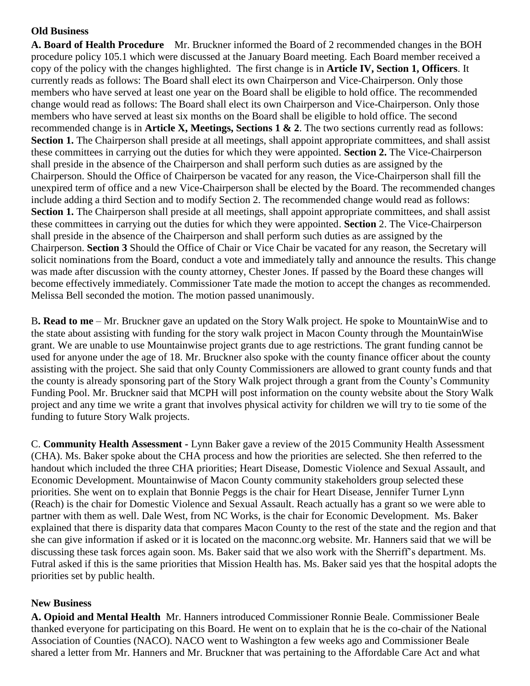## **Old Business**

**A. Board of Health Procedure** Mr. Bruckner informed the Board of 2 recommended changes in the BOH procedure policy 105.1 which were discussed at the January Board meeting. Each Board member received a copy of the policy with the changes highlighted. The first change is in **Article IV, Section 1, Officers**. It currently reads as follows: The Board shall elect its own Chairperson and Vice-Chairperson. Only those members who have served at least one year on the Board shall be eligible to hold office. The recommended change would read as follows: The Board shall elect its own Chairperson and Vice-Chairperson. Only those members who have served at least six months on the Board shall be eligible to hold office. The second recommended change is in **Article X, Meetings, Sections 1 & 2**. The two sections currently read as follows: **Section 1.** The Chairperson shall preside at all meetings, shall appoint appropriate committees, and shall assist these committees in carrying out the duties for which they were appointed. **Section 2.** The Vice-Chairperson shall preside in the absence of the Chairperson and shall perform such duties as are assigned by the Chairperson. Should the Office of Chairperson be vacated for any reason, the Vice-Chairperson shall fill the unexpired term of office and a new Vice-Chairperson shall be elected by the Board. The recommended changes include adding a third Section and to modify Section 2. The recommended change would read as follows: **Section 1.** The Chairperson shall preside at all meetings, shall appoint appropriate committees, and shall assist these committees in carrying out the duties for which they were appointed. **Section** 2. The Vice-Chairperson shall preside in the absence of the Chairperson and shall perform such duties as are assigned by the Chairperson. **Section 3** Should the Office of Chair or Vice Chair be vacated for any reason, the Secretary will solicit nominations from the Board, conduct a vote and immediately tally and announce the results. This change was made after discussion with the county attorney, Chester Jones. If passed by the Board these changes will become effectively immediately. Commissioner Tate made the motion to accept the changes as recommended. Melissa Bell seconded the motion. The motion passed unanimously.

B**. Read to me** – Mr. Bruckner gave an updated on the Story Walk project. He spoke to MountainWise and to the state about assisting with funding for the story walk project in Macon County through the MountainWise grant. We are unable to use Mountainwise project grants due to age restrictions. The grant funding cannot be used for anyone under the age of 18. Mr. Bruckner also spoke with the county finance officer about the county assisting with the project. She said that only County Commissioners are allowed to grant county funds and that the county is already sponsoring part of the Story Walk project through a grant from the County's Community Funding Pool. Mr. Bruckner said that MCPH will post information on the county website about the Story Walk project and any time we write a grant that involves physical activity for children we will try to tie some of the funding to future Story Walk projects.

C. **Community Health Assessment -** Lynn Baker gave a review of the 2015 Community Health Assessment (CHA). Ms. Baker spoke about the CHA process and how the priorities are selected. She then referred to the handout which included the three CHA priorities; Heart Disease, Domestic Violence and Sexual Assault, and Economic Development. Mountainwise of Macon County community stakeholders group selected these priorities. She went on to explain that Bonnie Peggs is the chair for Heart Disease, Jennifer Turner Lynn (Reach) is the chair for Domestic Violence and Sexual Assault. Reach actually has a grant so we were able to partner with them as well. Dale West, from NC Works, is the chair for Economic Development. Ms. Baker explained that there is disparity data that compares Macon County to the rest of the state and the region and that she can give information if asked or it is located on the maconnc.org website. Mr. Hanners said that we will be discussing these task forces again soon. Ms. Baker said that we also work with the Sherriff's department. Ms. Futral asked if this is the same priorities that Mission Health has. Ms. Baker said yes that the hospital adopts the priorities set by public health.

## **New Business**

**A. Opioid and Mental Health** Mr. Hanners introduced Commissioner Ronnie Beale. Commissioner Beale thanked everyone for participating on this Board. He went on to explain that he is the co-chair of the National Association of Counties (NACO). NACO went to Washington a few weeks ago and Commissioner Beale shared a letter from Mr. Hanners and Mr. Bruckner that was pertaining to the Affordable Care Act and what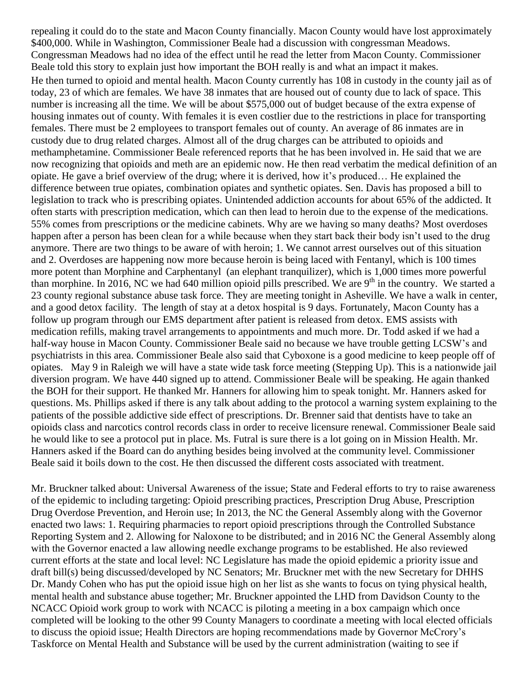repealing it could do to the state and Macon County financially. Macon County would have lost approximately \$400,000. While in Washington, Commissioner Beale had a discussion with congressman Meadows. Congressman Meadows had no idea of the effect until he read the letter from Macon County. Commissioner Beale told this story to explain just how important the BOH really is and what an impact it makes. He then turned to opioid and mental health. Macon County currently has 108 in custody in the county jail as of today, 23 of which are females. We have 38 inmates that are housed out of county due to lack of space. This number is increasing all the time. We will be about \$575,000 out of budget because of the extra expense of housing inmates out of county. With females it is even costlier due to the restrictions in place for transporting females. There must be 2 employees to transport females out of county. An average of 86 inmates are in custody due to drug related charges. Almost all of the drug charges can be attributed to opioids and methamphetamine. Commissioner Beale referenced reports that he has been involved in. He said that we are now recognizing that opioids and meth are an epidemic now. He then read verbatim the medical definition of an opiate. He gave a brief overview of the drug; where it is derived, how it's produced… He explained the difference between true opiates, combination opiates and synthetic opiates. Sen. Davis has proposed a bill to legislation to track who is prescribing opiates. Unintended addiction accounts for about 65% of the addicted. It often starts with prescription medication, which can then lead to heroin due to the expense of the medications. 55% comes from prescriptions or the medicine cabinets. Why are we having so many deaths? Most overdoses happen after a person has been clean for a while because when they start back their body isn't used to the drug anymore. There are two things to be aware of with heroin; 1. We cannot arrest ourselves out of this situation and 2. Overdoses are happening now more because heroin is being laced with Fentanyl, which is 100 times more potent than Morphine and Carphentanyl (an elephant tranquilizer), which is 1,000 times more powerful than morphine. In 2016, NC we had 640 million opioid pills prescribed. We are  $9<sup>th</sup>$  in the country. We started a 23 county regional substance abuse task force. They are meeting tonight in Asheville. We have a walk in center, and a good detox facility. The length of stay at a detox hospital is 9 days. Fortunately, Macon County has a follow up program through our EMS department after patient is released from detox. EMS assists with medication refills, making travel arrangements to appointments and much more. Dr. Todd asked if we had a half-way house in Macon County. Commissioner Beale said no because we have trouble getting LCSW's and psychiatrists in this area. Commissioner Beale also said that Cyboxone is a good medicine to keep people off of opiates. May 9 in Raleigh we will have a state wide task force meeting (Stepping Up). This is a nationwide jail diversion program. We have 440 signed up to attend. Commissioner Beale will be speaking. He again thanked the BOH for their support. He thanked Mr. Hanners for allowing him to speak tonight. Mr. Hanners asked for questions. Ms. Phillips asked if there is any talk about adding to the protocol a warning system explaining to the patients of the possible addictive side effect of prescriptions. Dr. Brenner said that dentists have to take an opioids class and narcotics control records class in order to receive licensure renewal. Commissioner Beale said he would like to see a protocol put in place. Ms. Futral is sure there is a lot going on in Mission Health. Mr. Hanners asked if the Board can do anything besides being involved at the community level. Commissioner Beale said it boils down to the cost. He then discussed the different costs associated with treatment.

Mr. Bruckner talked about: Universal Awareness of the issue; State and Federal efforts to try to raise awareness of the epidemic to including targeting: Opioid prescribing practices, Prescription Drug Abuse, Prescription Drug Overdose Prevention, and Heroin use; In 2013, the NC the General Assembly along with the Governor enacted two laws: 1. Requiring pharmacies to report opioid prescriptions through the Controlled Substance Reporting System and 2. Allowing for Naloxone to be distributed; and in 2016 NC the General Assembly along with the Governor enacted a law allowing needle exchange programs to be established. He also reviewed current efforts at the state and local level: NC Legislature has made the opioid epidemic a priority issue and draft bill(s) being discussed/developed by NC Senators; Mr. Bruckner met with the new Secretary for DHHS Dr. Mandy Cohen who has put the opioid issue high on her list as she wants to focus on tying physical health, mental health and substance abuse together; Mr. Bruckner appointed the LHD from Davidson County to the NCACC Opioid work group to work with NCACC is piloting a meeting in a box campaign which once completed will be looking to the other 99 County Managers to coordinate a meeting with local elected officials to discuss the opioid issue; Health Directors are hoping recommendations made by Governor McCrory's Taskforce on Mental Health and Substance will be used by the current administration (waiting to see if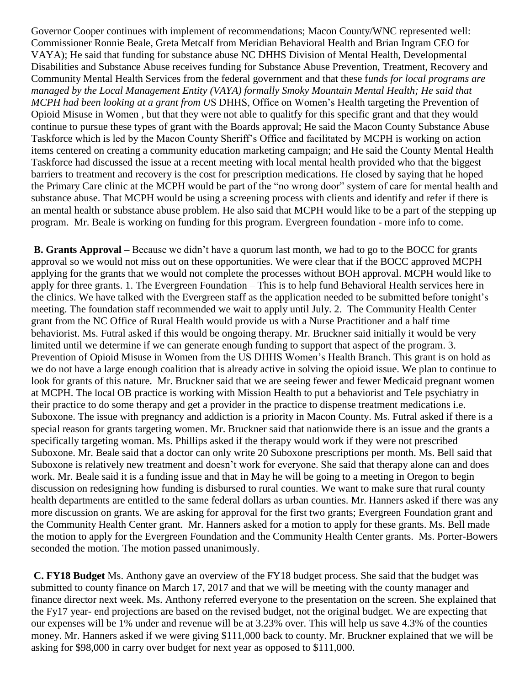Governor Cooper continues with implement of recommendations; Macon County/WNC represented well: Commissioner Ronnie Beale, Greta Metcalf from Meridian Behavioral Health and Brian Ingram CEO for VAYA); He said that funding for substance abuse NC DHHS Division of Mental Health, Developmental Disabilities and Substance Abuse receives funding for Substance Abuse Prevention, Treatment, Recovery and Community Mental Health Services from the federal government and that these f*unds for local programs are managed by the Local Management Entity (VAYA) formally Smoky Mountain Mental Health; He said that MCPH had been looking at a grant from U*S DHHS, Office on Women's Health targeting the Prevention of Opioid Misuse in Women , but that they were not able to qualitfy for this specific grant and that they would continue to pursue these types of grant with the Boards approval; He said the Macon County Substance Abuse Taskforce which is led by the Macon County Sheriff's Office and facilitated by MCPH is working on action items centered on creating a community education marketing campaign; and He said the County Mental Health Taskforce had discussed the issue at a recent meeting with local mental health provided who that the biggest barriers to treatment and recovery is the cost for prescription medications. He closed by saying that he hoped the Primary Care clinic at the MCPH would be part of the "no wrong door" system of care for mental health and substance abuse. That MCPH would be using a screening process with clients and identify and refer if there is an mental health or substance abuse problem. He also said that MCPH would like to be a part of the stepping up program. Mr. Beale is working on funding for this program. Evergreen foundation - more info to come.

**B. Grants Approval –** Because we didn't have a quorum last month, we had to go to the BOCC for grants approval so we would not miss out on these opportunities. We were clear that if the BOCC approved MCPH applying for the grants that we would not complete the processes without BOH approval. MCPH would like to apply for three grants. 1. The Evergreen Foundation – This is to help fund Behavioral Health services here in the clinics. We have talked with the Evergreen staff as the application needed to be submitted before tonight's meeting. The foundation staff recommended we wait to apply until July. 2. The Community Health Center grant from the NC Office of Rural Health would provide us with a Nurse Practitioner and a half time behaviorist. Ms. Futral asked if this would be ongoing therapy. Mr. Bruckner said initially it would be very limited until we determine if we can generate enough funding to support that aspect of the program. 3. Prevention of Opioid Misuse in Women from the US DHHS Women's Health Branch. This grant is on hold as we do not have a large enough coalition that is already active in solving the opioid issue. We plan to continue to look for grants of this nature. Mr. Bruckner said that we are seeing fewer and fewer Medicaid pregnant women at MCPH. The local OB practice is working with Mission Health to put a behaviorist and Tele psychiatry in their practice to do some therapy and get a provider in the practice to dispense treatment medications i.e. Suboxone. The issue with pregnancy and addiction is a priority in Macon County. Ms. Futral asked if there is a special reason for grants targeting women. Mr. Bruckner said that nationwide there is an issue and the grants a specifically targeting woman. Ms. Phillips asked if the therapy would work if they were not prescribed Suboxone. Mr. Beale said that a doctor can only write 20 Suboxone prescriptions per month. Ms. Bell said that Suboxone is relatively new treatment and doesn't work for everyone. She said that therapy alone can and does work. Mr. Beale said it is a funding issue and that in May he will be going to a meeting in Oregon to begin discussion on redesigning how funding is disbursed to rural counties. We want to make sure that rural county health departments are entitled to the same federal dollars as urban counties. Mr. Hanners asked if there was any more discussion on grants. We are asking for approval for the first two grants; Evergreen Foundation grant and the Community Health Center grant. Mr. Hanners asked for a motion to apply for these grants. Ms. Bell made the motion to apply for the Evergreen Foundation and the Community Health Center grants. Ms. Porter-Bowers seconded the motion. The motion passed unanimously.

**C. FY18 Budget** Ms. Anthony gave an overview of the FY18 budget process. She said that the budget was submitted to county finance on March 17, 2017 and that we will be meeting with the county manager and finance director next week. Ms. Anthony referred everyone to the presentation on the screen. She explained that the Fy17 year- end projections are based on the revised budget, not the original budget. We are expecting that our expenses will be 1% under and revenue will be at 3.23% over. This will help us save 4.3% of the counties money. Mr. Hanners asked if we were giving \$111,000 back to county. Mr. Bruckner explained that we will be asking for \$98,000 in carry over budget for next year as opposed to \$111,000.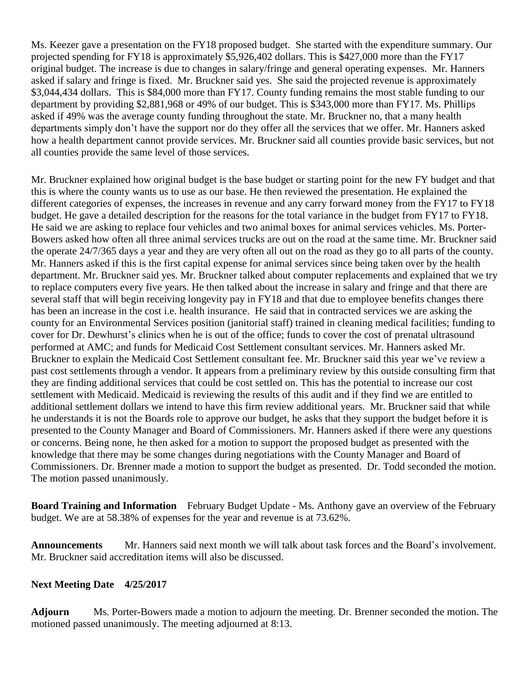Ms. Keezer gave a presentation on the FY18 proposed budget. She started with the expenditure summary. Our projected spending for FY18 is approximately \$5,926,402 dollars. This is \$427,000 more than the FY17 original budget. The increase is due to changes in salary/fringe and general operating expenses. Mr. Hanners asked if salary and fringe is fixed. Mr. Bruckner said yes. She said the projected revenue is approximately \$3,044,434 dollars. This is \$84,000 more than FY17. County funding remains the most stable funding to our department by providing \$2,881,968 or 49% of our budget. This is \$343,000 more than FY17. Ms. Phillips asked if 49% was the average county funding throughout the state. Mr. Bruckner no, that a many health departments simply don't have the support nor do they offer all the services that we offer. Mr. Hanners asked how a health department cannot provide services. Mr. Bruckner said all counties provide basic services, but not all counties provide the same level of those services.

Mr. Bruckner explained how original budget is the base budget or starting point for the new FY budget and that this is where the county wants us to use as our base. He then reviewed the presentation. He explained the different categories of expenses, the increases in revenue and any carry forward money from the FY17 to FY18 budget. He gave a detailed description for the reasons for the total variance in the budget from FY17 to FY18. He said we are asking to replace four vehicles and two animal boxes for animal services vehicles. Ms. Porter-Bowers asked how often all three animal services trucks are out on the road at the same time. Mr. Bruckner said the operate 24/7/365 days a year and they are very often all out on the road as they go to all parts of the county. Mr. Hanners asked if this is the first capital expense for animal services since being taken over by the health department. Mr. Bruckner said yes. Mr. Bruckner talked about computer replacements and explained that we try to replace computers every five years. He then talked about the increase in salary and fringe and that there are several staff that will begin receiving longevity pay in FY18 and that due to employee benefits changes there has been an increase in the cost i.e. health insurance. He said that in contracted services we are asking the county for an Environmental Services position (janitorial staff) trained in cleaning medical facilities; funding to cover for Dr. Dewhurst's clinics when he is out of the office; funds to cover the cost of prenatal ultrasound performed at AMC; and funds for Medicaid Cost Settlement consultant services. Mr. Hanners asked Mr. Bruckner to explain the Medicaid Cost Settlement consultant fee. Mr. Bruckner said this year we've review a past cost settlements through a vendor. It appears from a preliminary review by this outside consulting firm that they are finding additional services that could be cost settled on. This has the potential to increase our cost settlement with Medicaid. Medicaid is reviewing the results of this audit and if they find we are entitled to additional settlement dollars we intend to have this firm review additional years. Mr. Bruckner said that while he understands it is not the Boards role to approve our budget, he asks that they support the budget before it is presented to the County Manager and Board of Commissioners. Mr. Hanners asked if there were any questions or concerns. Being none, he then asked for a motion to support the proposed budget as presented with the knowledge that there may be some changes during negotiations with the County Manager and Board of Commissioners. Dr. Brenner made a motion to support the budget as presented. Dr. Todd seconded the motion. The motion passed unanimously.

**Board Training and Information** February Budget Update - Ms. Anthony gave an overview of the February budget. We are at 58.38% of expenses for the year and revenue is at 73.62%.

**Announcements** Mr. Hanners said next month we will talk about task forces and the Board's involvement. Mr. Bruckner said accreditation items will also be discussed.

## **Next Meeting Date 4/25/2017**

**Adjourn** Ms. Porter-Bowers made a motion to adjourn the meeting. Dr. Brenner seconded the motion. The motioned passed unanimously. The meeting adjourned at 8:13.